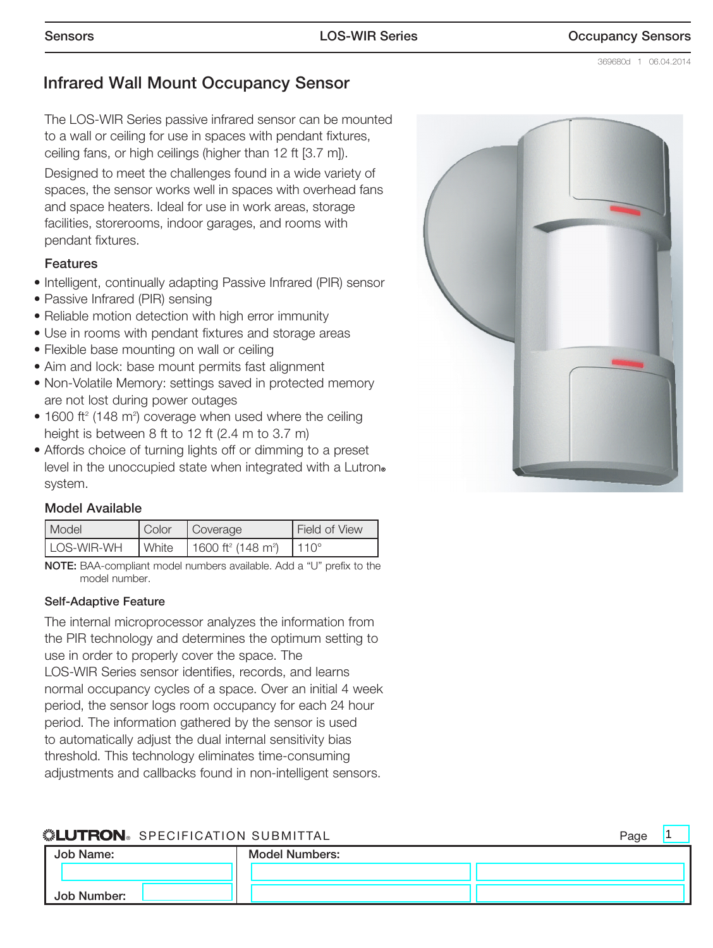1

# Infrared Wall Mount Occupancy Sensor

The LOS-WIR Series passive infrared sensor can be mounted to a wall or ceiling for use in spaces with pendant fixtures, ceiling fans, or high ceilings (higher than 12 ft [3.7 m]).

Designed to meet the challenges found in a wide variety of spaces, the sensor works well in spaces with overhead fans and space heaters. Ideal for use in work areas, storage facilities, storerooms, indoor garages, and rooms with pendant fixtures.

#### Features

- Intelligent, continually adapting Passive Infrared (PIR) sensor
- Passive Infrared (PIR) sensing
- Reliable motion detection with high error immunity
- Use in rooms with pendant fixtures and storage areas
- Flexible base mounting on wall or ceiling
- Aim and lock: base mount permits fast alignment
- Non-Volatile Memory: settings saved in protected memory are not lost during power outages
- $\bullet$  1600 ft<sup>2</sup> (148 m<sup>2</sup>) coverage when used where the ceiling height is between 8 ft to 12 ft (2.4 m to 3.7 m)
- Affords choice of turning lights off or dimming to a preset level in the unoccupied state when integrated with a Lutron. system.

#### Model Available

| <b>Model</b> | Color   | Coverage                                   | Field of View       |
|--------------|---------|--------------------------------------------|---------------------|
| LOS-WIR-WH   | l White | 1600 ft <sup>2</sup> (148 m <sup>2</sup> ) | 11 $\Omega^{\circ}$ |

NOTE: BAA-compliant model numbers available. Add a "U" prefix to the model number.

#### Self-Adaptive Feature

The internal microprocessor analyzes the information from the PIR technology and determines the optimum setting to use in order to properly cover the space. The LOS-WIR Series sensor identifies, records, and learns normal occupancy cycles of a space. Over an initial 4 week period, the sensor logs room occupancy for each 24 hour period. The information gathered by the sensor is used to automatically adjust the dual internal sensitivity bias threshold. This technology eliminates time-consuming adjustments and callbacks found in non-intelligent sensors.

#### **« ELUTRON** SPECIFICATION SUBMITTAL Page **Page All According to the Second Page**



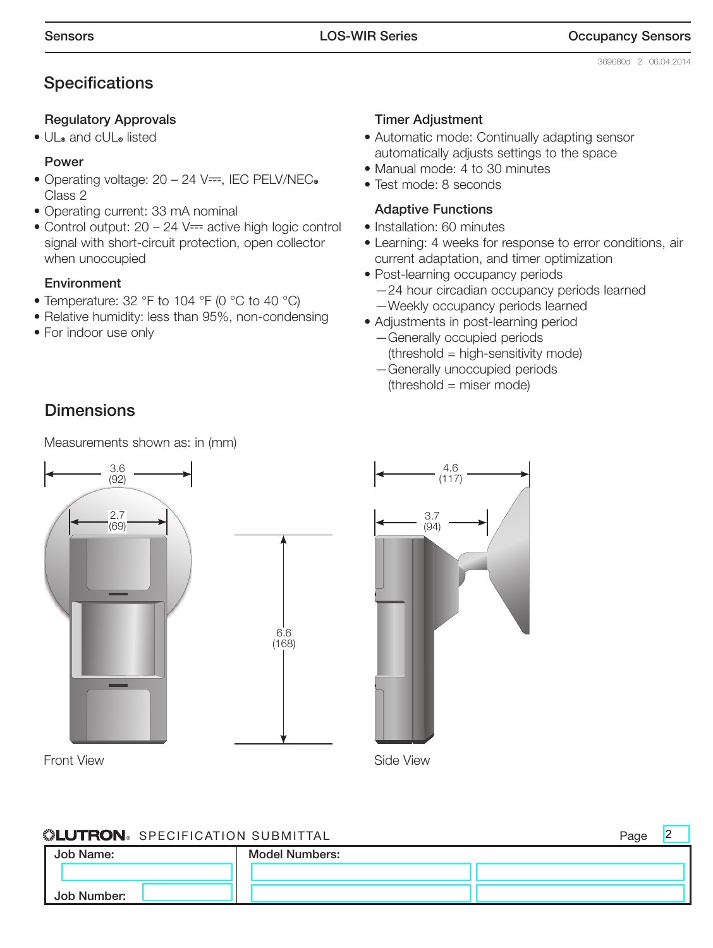2

# **Specifications**

#### Regulatory Approvals

• UL® and cUL® listed

#### Power

- Operating voltage:  $20 24$  V==, IEC PELV/NEC. Class 2
- Operating current: 33 mA nominal
- Control output:  $20 24$  V= active high logic control signal with short-circuit protection, open collector when unoccupied

#### **Environment**

- Temperature: 32 °F to 104 °F (0 °C to 40 °C)
- Relative humidity: less than 95%, non-condensing
- For indoor use only

#### Timer Adjustment

- Automatic mode: Continually adapting sensor automatically adjusts settings to the space
- Manual mode: 4 to 30 minutes
- Test mode: 8 seconds

#### Adaptive Functions

- Installation: 60 minutes
- Learning: 4 weeks for response to error conditions, air current adaptation, and timer optimization
- Post-learning occupancy periods —24 hour circadian occupancy periods learned —Weekly occupancy periods learned
- Adjustments in post-learning period —Generally occupied periods
	- (threshold = high-sensitivity mode) —Generally unoccupied periods
	- $(threshold = miser mode)$

# **Dimensions**

Measurements shown as: in (mm)



Front View **Side View** Side View



### ® SPECIFICATION SUBMITTAL Page

| Job Name:   | <b>Model Numbers:</b> |  |
|-------------|-----------------------|--|
|             |                       |  |
| Job Number: |                       |  |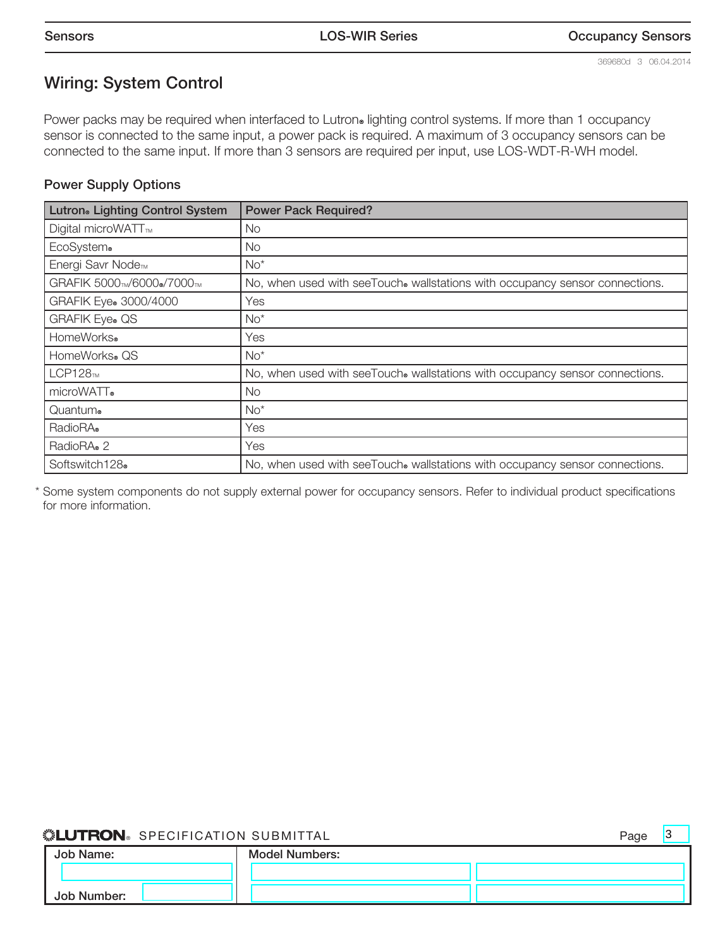3

# Wiring: System Control

Power packs may be required when interfaced to Lutron. lighting control systems. If more than 1 occupancy sensor is connected to the same input, a power pack is required. A maximum of 3 occupancy sensors can be connected to the same input. If more than 3 sensors are required per input, use LOS-WDT-R-WH model.

#### Power Supply Options

| Lutron <sup>®</sup> Lighting Control System | <b>Power Pack Required?</b>                                                  |
|---------------------------------------------|------------------------------------------------------------------------------|
| Digital microWATT <sub>™</sub>              | No.                                                                          |
| EcoSystem®                                  | No.                                                                          |
| Energi Savr Node <sub>TM</sub>              | $No*$                                                                        |
| GRAFIK 5000TM/6000®/7000TM                  | No, when used with seeTouch® wallstations with occupancy sensor connections. |
| GRAFIK Eye® 3000/4000                       | Yes                                                                          |
| <b>GRAFIK Eye® QS</b>                       | $No^*$                                                                       |
| HomeWorks <sup>®</sup>                      | Yes                                                                          |
| HomeWorks® QS                               | $No*$                                                                        |
| LCP128m                                     | No, when used with seeTouch® wallstations with occupancy sensor connections. |
| microWATT.                                  | No.                                                                          |
| Quantum®                                    | $No*$                                                                        |
| RadioRA®                                    | Yes                                                                          |
| RadioRA® 2                                  | Yes                                                                          |
| Softswitch128®                              | No, when used with seeTouch® wallstations with occupancy sensor connections. |

\* Some system components do not supply external power for occupancy sensors. Refer to individual product specifications for more information.

#### **SELUTRON** SPECIFICATION SUBMITTAL SERVICE SERVICE SERVICE SERVICE SERVICE SERVICE SERVICE SERVICE SERVICE SERVICE SERVICE SERVICE SERVICE SERVICE SERVICE SERVICE SERVICE SERVICE SERVICE SERVICE SERVICE SERVICE SERVICE SER

| Job Name:   | <b>Model Numbers:</b> |  |
|-------------|-----------------------|--|
|             |                       |  |
| Job Number: |                       |  |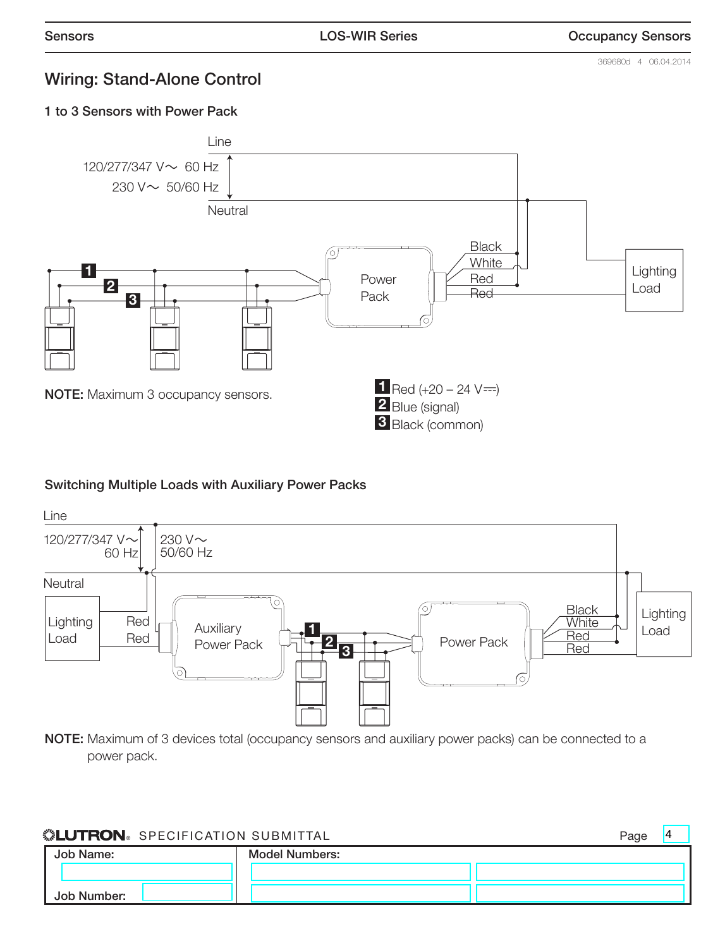369680d 4 06.04.2014

4

## Wiring: Stand-Alone Control

1 to 3 Sensors with Power Pack



#### Switching Multiple Loads with Auxiliary Power Packs



NOTE: Maximum of 3 devices total (occupancy sensors and auxiliary power packs) can be connected to a power pack.

| Page |
|------|
|      |

| Job Name:   | <b>Model Numbers:</b> |  |
|-------------|-----------------------|--|
|             |                       |  |
| Job Number: |                       |  |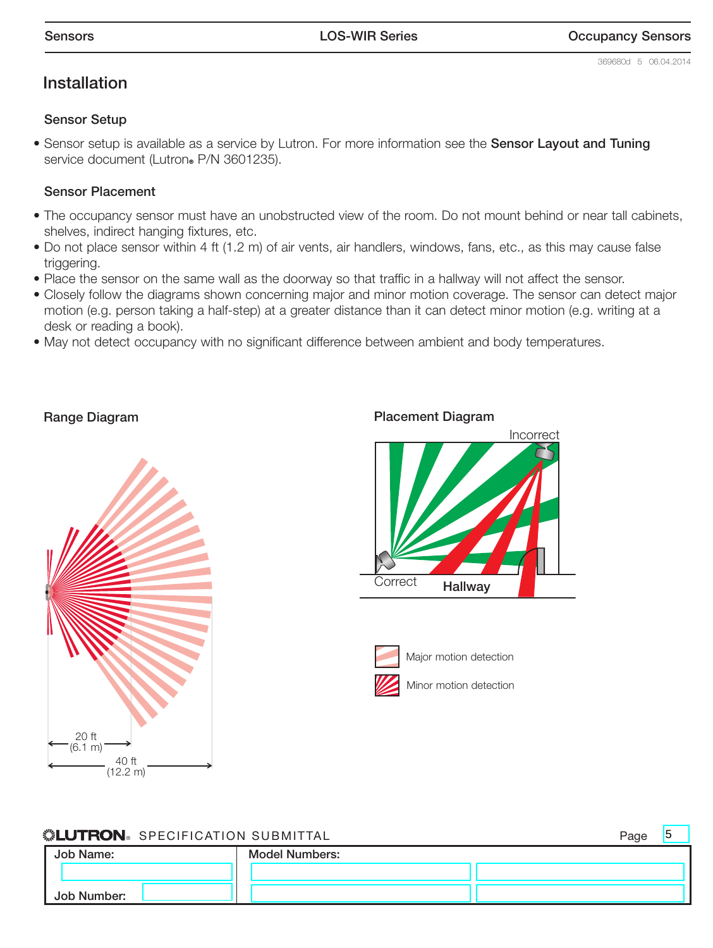#### Installation

#### Sensor Setup

• Sensor setup is available as a service by Lutron. For more information see the Sensor Layout and Tuning service document (Lutron® P/N 3601235).

#### Sensor Placement

- The occupancy sensor must have an unobstructed view of the room. Do not mount behind or near tall cabinets, shelves, indirect hanging fixtures, etc.
- Do not place sensor within 4 ft (1.2 m) of air vents, air handlers, windows, fans, etc., as this may cause false triggering.
- Place the sensor on the same wall as the doorway so that traffic in a hallway will not affect the sensor.
- Closely follow the diagrams shown concerning major and minor motion coverage. The sensor can detect major motion (e.g. person taking a half-step) at a greater distance than it can detect minor motion (e.g. writing at a desk or reading a book).
- May not detect occupancy with no significant difference between ambient and body temperatures.

Range Diagram



**Correct** Incorrect **Hallway** 



Major motion detection



**« ELUTRON** SPECIFICATION SUBMITTAL Page **Page All Alternative Contract Page** 

5

| Job Name:   | <b>Model Numbers:</b> |  |
|-------------|-----------------------|--|
|             |                       |  |
| Job Number: |                       |  |

#### Placement Diagram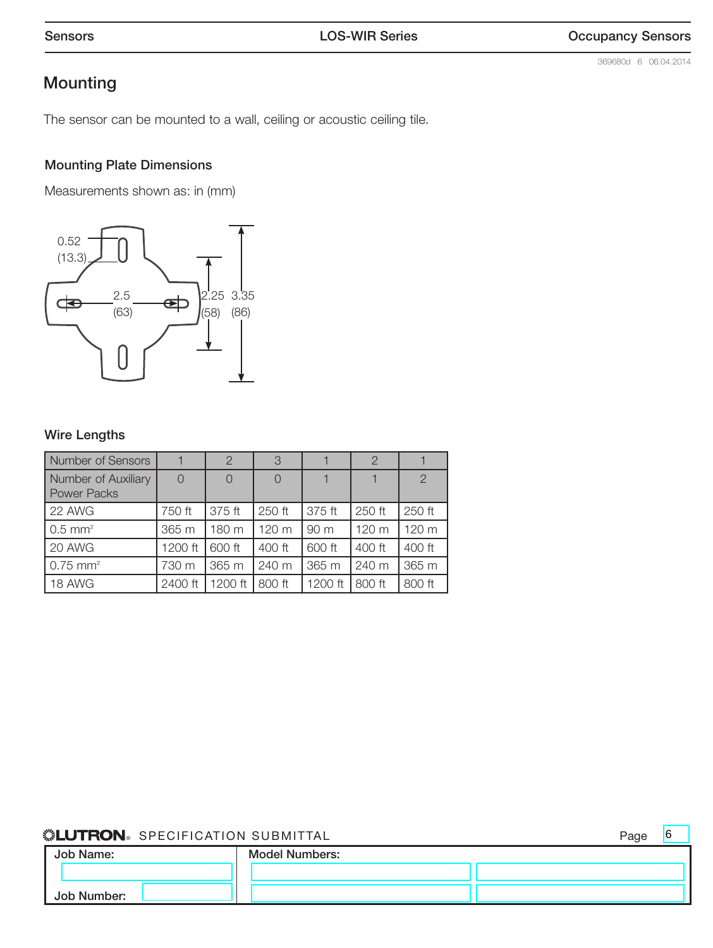# Mounting

The sensor can be mounted to a wall, ceiling or acoustic ceiling tile.

#### Mounting Plate Dimensions

Measurements shown as: in (mm)



#### Wire Lengths

| <b>Number of Sensors</b>                  |         | $\overline{2}$ | 3      |         | 2      |                |
|-------------------------------------------|---------|----------------|--------|---------|--------|----------------|
| Number of Auxiliary<br><b>Power Packs</b> |         | $\Omega$       |        |         |        | $\overline{2}$ |
| 22 AWG                                    | 750 ft  | 375 ft         | 250 ft | 375 ft  | 250 ft | 250 ft         |
| $0.5$ mm <sup>2</sup>                     | 365 m   | 180 m          | 120 m  | 90 m    | 120 m  | 120 m          |
| 20 AWG                                    | 1200 ft | 600 ft         | 400 ft | 600 ft  | 400 ft | 400 ft         |
| $0.75$ mm <sup>2</sup>                    | 730 m   | 365 m          | 240 m  | 365 m   | 240 m  | 365 m          |
| 18 AWG                                    | 2400 ft | 1200 ft        | 800 ft | 1200 ft | 800 ft | 800 ft         |

#### ® SPECIFICATION SUBMITTAL Page

6

| Job Name:   | <b>Model Numbers:</b> |  |
|-------------|-----------------------|--|
|             |                       |  |
| Job Number: |                       |  |

369680d 6 06.04.2014